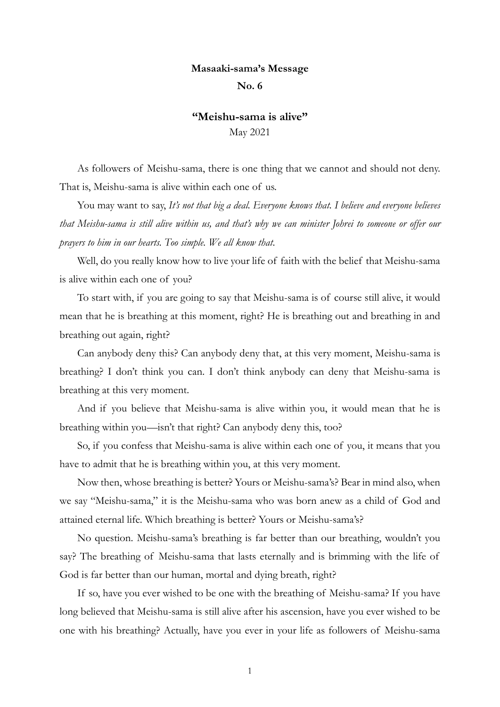## **Masaaki-sama's Message**

## **No. 6**

## **"Meishu-sama is alive"** May 2021

As followers of Meishu-sama, there is one thing that we cannot and should not deny. That is, Meishu-sama is alive within each one of us.

You may want to say, *It's not that big a deal. Everyone knows that. I believe and everyone believes that Meishu-sama is still alive within us, and that's why we can minister Johrei to someone or offer our prayers to him in our hearts. Too simple. We all know that*.

Well, do you really know how to live your life of faith with the belief that Meishu-sama is alive within each one of you?

To start with, if you are going to say that Meishu-sama is of course still alive, it would mean that he is breathing at this moment, right? He is breathing out and breathing in and breathing out again, right?

Can anybody deny this? Can anybody deny that, at this very moment, Meishu-sama is breathing? I don't think you can. I don't think anybody can deny that Meishu-sama is breathing at this very moment.

And if you believe that Meishu-sama is alive within you, it would mean that he is breathing within you—isn't that right? Can anybody deny this, too?

So, if you confess that Meishu-sama is alive within each one of you, it means that you have to admit that he is breathing within you, at this very moment.

Now then, whose breathing is better? Yours or Meishu-sama's? Bear in mind also, when we say "Meishu-sama," it is the Meishu-sama who was born anew as a child of God and attained eternal life. Which breathing is better? Yours or Meishu-sama's?

No question. Meishu-sama's breathing is far better than our breathing, wouldn't you say? The breathing of Meishu-sama that lasts eternally and is brimming with the life of God is far better than our human, mortal and dying breath, right?

If so, have you ever wished to be one with the breathing of Meishu-sama? If you have long believed that Meishu-sama is still alive after his ascension, have you ever wished to be one with his breathing? Actually, have you ever in your life as followers of Meishu-sama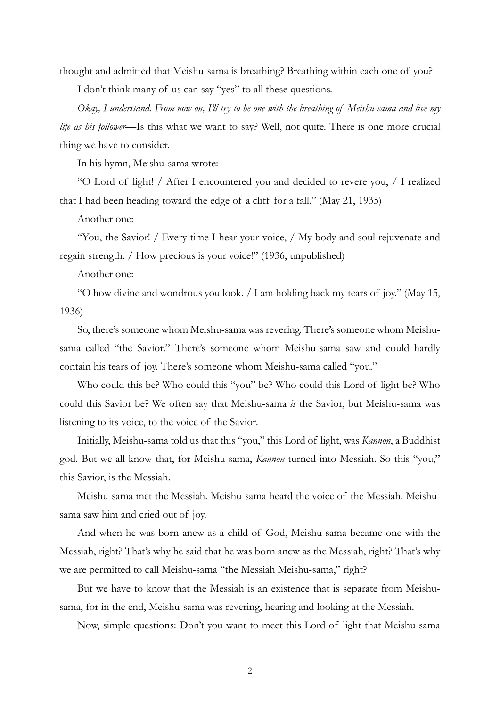thought and admitted that Meishu-sama is breathing? Breathing within each one of you? I don't think many of us can say "yes" to all these questions.

*Okay, I understand. From now on, I'll try to be one with the breathing of Meishu-sama and live my life as his follower*—Is this what we want to say? Well, not quite. There is one more crucial thing we have to consider.

In his hymn, Meishu-sama wrote:

"O Lord of light! / After I encountered you and decided to revere you, / I realized that I had been heading toward the edge of a cliff for a fall." (May 21, 1935)

Another one:

"You, the Savior! / Every time I hear your voice, / My body and soul rejuvenate and regain strength. / How precious is your voice!" (1936, unpublished)

Another one:

"O how divine and wondrous you look. / I am holding back my tears of joy." (May 15, 1936)

So, there's someone whom Meishu-sama was revering. There's someone whom Meishusama called "the Savior." There's someone whom Meishu-sama saw and could hardly contain his tears of joy. There's someone whom Meishu-sama called "you."

Who could this be? Who could this "you" be? Who could this Lord of light be? Who could this Savior be? We often say that Meishu-sama *is* the Savior, but Meishu-sama was listening to its voice, to the voice of the Savior.

Initially, Meishu-sama told us that this "you," this Lord of light, was *Kannon*, a Buddhist god. But we all know that, for Meishu-sama, *Kannon* turned into Messiah. So this "you," this Savior, is the Messiah.

Meishu-sama met the Messiah. Meishu-sama heard the voice of the Messiah. Meishusama saw him and cried out of joy.

And when he was born anew as a child of God, Meishu-sama became one with the Messiah, right? That's why he said that he was born anew as the Messiah, right? That's why we are permitted to call Meishu-sama "the Messiah Meishu-sama," right?

But we have to know that the Messiah is an existence that is separate from Meishusama, for in the end, Meishu-sama was revering, hearing and looking at the Messiah.

Now, simple questions: Don't you want to meet this Lord of light that Meishu-sama